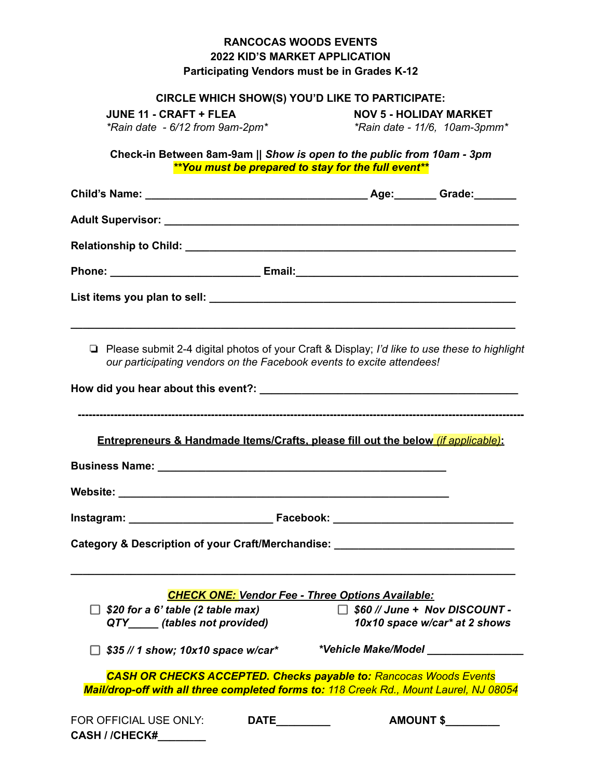## **RANCOCAS WOODS EVENTS 2022 KID'S MARKET APPLICATION Participating Vendors must be in Grades K-12**

#### **CIRCLE WHICH SHOW(S) YOU'D LIKE TO PARTICIPATE:**

**JUNE 11 - CRAFT + FLEA NOV 5 - HOLIDAY MARKET** *\*Rain date - 6/12 from 9am-2pm\* \*Rain date - 11/6, 10am-3pmm\**

**Check-in Between 8am-9am ||** *Show is open to the public from 10am - 3pm \*\*You must be prepared to stay for the full event\*\**

| □ Please submit 2-4 digital photos of your Craft & Display; I'd like to use these to highlight<br>our participating vendors on the Facebook events to excite attendees! |                      |                                                         |                                                                       |
|-------------------------------------------------------------------------------------------------------------------------------------------------------------------------|----------------------|---------------------------------------------------------|-----------------------------------------------------------------------|
|                                                                                                                                                                         |                      |                                                         |                                                                       |
| <b>Entrepreneurs &amp; Handmade Items/Crafts, please fill out the below <i>(if applicable)</i>:</b>                                                                     |                      |                                                         |                                                                       |
|                                                                                                                                                                         |                      |                                                         |                                                                       |
|                                                                                                                                                                         |                      |                                                         |                                                                       |
|                                                                                                                                                                         |                      |                                                         |                                                                       |
| Category & Description of your Craft/Merchandise: ______________________________                                                                                        |                      |                                                         |                                                                       |
|                                                                                                                                                                         |                      |                                                         |                                                                       |
|                                                                                                                                                                         |                      | <b>CHECK ONE: Vendor Fee - Three Options Available:</b> |                                                                       |
| $\Box$ \$20 for a 6' table (2 table max)<br>QTY (tables not provided)                                                                                                   |                      |                                                         | $\Box$ \$60 // June + Nov DISCOUNT -<br>10x10 space w/car* at 2 shows |
| $\Box$ \$35 // 1 show; 10x10 space w/car*                                                                                                                               |                      |                                                         |                                                                       |
| <b>CASH OR CHECKS ACCEPTED. Checks payable to: Rancocas Woods Events</b><br>Mail/drop-off with all three completed forms to: 118 Creek Rd., Mount Laurel, NJ 08054      |                      |                                                         |                                                                       |
| FOR OFFICIAL USE ONLY:<br>CASH / /CHECK#_______                                                                                                                         | <b>DATE_________</b> |                                                         | AMOUNT \$                                                             |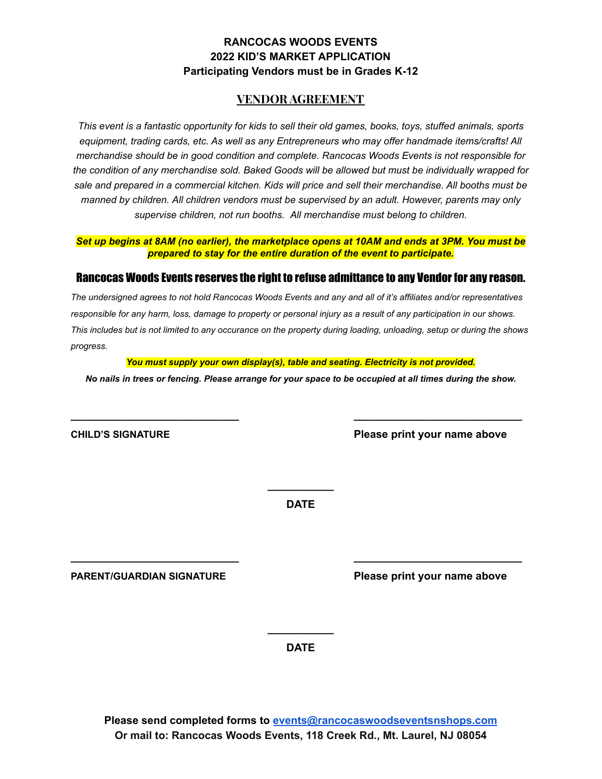## **RANCOCAS WOODS EVENTS 2022 KID'S MARKET APPLICATION Participating Vendors must be in Grades K-12**

## **VENDOR AGREEMENT**

This event is a fantastic opportunity for kids to sell their old games, books, toys, stuffed animals, sports *equipment, trading cards, etc. As well as any Entrepreneurs who may offer handmade items/crafts! All merchandise should be in good condition and complete. Rancocas Woods Events is not responsible for the condition of any merchandise sold. Baked Goods will be allowed but must be individually wrapped for* sale and prepared in a commercial kitchen. Kids will price and sell their merchandise. All booths must be *manned by children. All children vendors must be supervised by an adult. However, parents may only supervise children, not run booths. All merchandise must belong to children.*

Set up begins at 8AM (no earlier), the marketplace opens at 10AM and ends at 3PM. You must be *prepared to stay for the entire duration of the event to participate.*

### Rancocas Woods Events reserves the right to refuse admittance to any Vendor for any reason.

*The undersigned agrees to not hold Rancocas Woods Events and any and all of it's affiliates and/or representatives responsible for any harm, loss, damage to property or personal injury as a result of any participation in our shows. This includes but is not limited to any occurance on the property during loading, unloading, setup or during the shows progress.*

*You must supply your own display(s), table and seating. Electricity is not provided.*

*No nails in trees or fencing. Please arrange for your space to be occupied at all times during the show.*

**\_\_\_\_\_\_\_\_\_\_\_\_\_\_\_\_\_\_\_\_\_\_\_\_\_\_\_\_ \_\_\_\_\_\_\_\_\_\_\_\_\_\_\_\_\_\_\_\_\_\_\_\_\_\_\_\_**

**CHILD'S SIGNATURE Please print your name above**

**\_\_\_\_\_\_\_\_\_\_\_ DATE**

**\_\_\_\_\_\_\_\_\_\_\_\_\_\_\_\_\_\_\_\_\_\_\_\_\_\_\_\_ \_\_\_\_\_\_\_\_\_\_\_\_\_\_\_\_\_\_\_\_\_\_\_\_\_\_\_\_**

**PARENT/GUARDIAN SIGNATURE Please print your name above**

**\_\_\_\_\_\_\_\_\_\_\_ DATE**

**Please send completed forms to [events@rancocaswoodseventsnshops.com](mailto:events@rancocaswoodseventsnshops.com) Or mail to: Rancocas Woods Events, 118 Creek Rd., Mt. Laurel, NJ 08054**